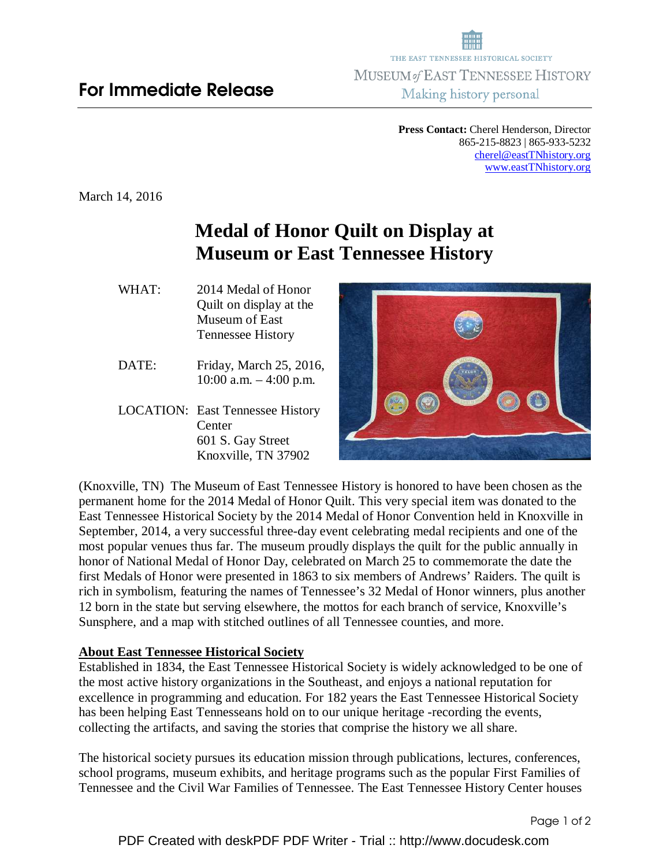**Press Contact:** Cherel Henderson, Director 865-215-8823 | 865-933-5232 cherel@eastTNhistory.org www.eastTNhistory.org

March 14, 2016

## **Medal of Honor Quilt on Display at Museum or East Tennessee History**

- WHAT: 2014 Medal of Honor Quilt on display at the Museum of East Tennessee History
- DATE: Friday, March 25, 2016, 10:00 a.m. – 4:00 p.m.
- LOCATION: East Tennessee History **Center**  601 S. Gay Street Knoxville, TN 37902



(Knoxville, TN) The Museum of East Tennessee History is honored to have been chosen as the permanent home for the 2014 Medal of Honor Quilt. This very special item was donated to the East Tennessee Historical Society by the 2014 Medal of Honor Convention held in Knoxville in September, 2014, a very successful three-day event celebrating medal recipients and one of the most popular venues thus far. The museum proudly displays the quilt for the public annually in honor of National Medal of Honor Day, celebrated on March 25 to commemorate the date the first Medals of Honor were presented in 1863 to six members of Andrews' Raiders. The quilt is rich in symbolism, featuring the names of Tennessee's 32 Medal of Honor winners, plus another 12 born in the state but serving elsewhere, the mottos for each branch of service, Knoxville's Sunsphere, and a map with stitched outlines of all Tennessee counties, and more.

## **About East Tennessee Historical Society**

Established in 1834, the East Tennessee Historical Society is widely acknowledged to be one of the most active history organizations in the Southeast, and enjoys a national reputation for excellence in programming and education. For 182 years the East Tennessee Historical Society has been helping East Tennesseans hold on to our unique heritage -recording the events, collecting the artifacts, and saving the stories that comprise the history we all share.

The historical society pursues its education mission through publications, lectures, conferences, school programs, museum exhibits, and heritage programs such as the popular First Families of Tennessee and the Civil War Families of Tennessee. The East Tennessee History Center houses